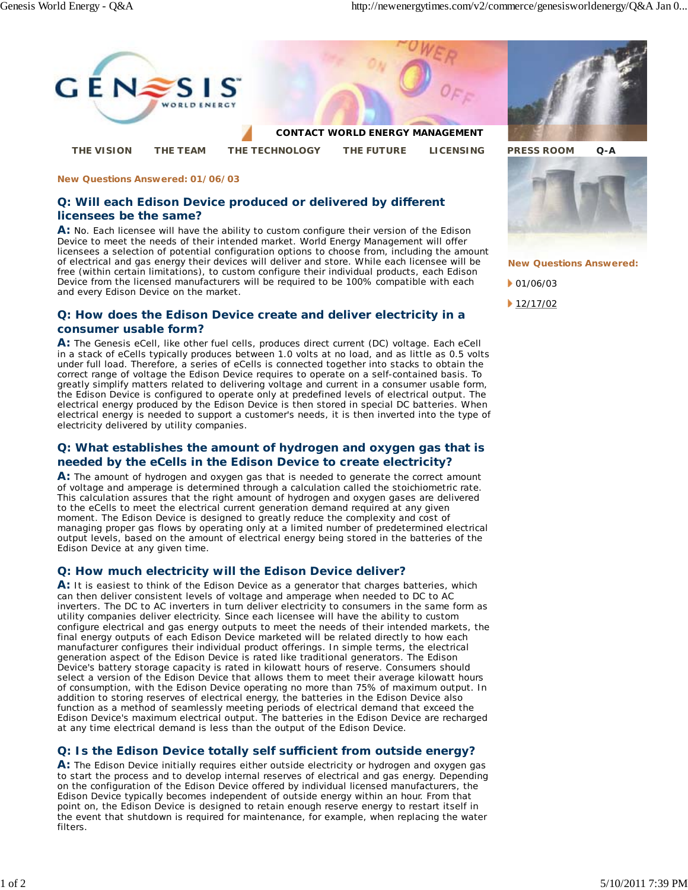

#### **New Questions Answered: 01/06/03**

## **Q: Will each Edison Device produced or delivered by different licensees be the same?**

**A:** No. Each licensee will have the ability to custom configure their version of the Edison Device to meet the needs of their intended market. World Energy Management will offer licensees a selection of potential configuration options to choose from, including the amount of electrical and gas energy their devices will deliver and store. While each licensee will be free (within certain limitations), to custom configure their individual products, each Edison Device from the licensed manufacturers will be required to be 100% compatible with each and every Edison Device on the market.

## **Q: How does the Edison Device create and deliver electricity in a consumer usable form?**

**A:** The Genesis eCell, like other fuel cells, produces direct current (DC) voltage. Each eCell in a stack of eCells typically produces between 1.0 volts at no load, and as little as 0.5 volts under full load. Therefore, a series of eCells is connected together into stacks to obtain the correct range of voltage the Edison Device requires to operate on a self-contained basis. To greatly simplify matters related to delivering voltage and current in a consumer usable form, the Edison Device is configured to operate only at predefined levels of electrical output. The electrical energy produced by the Edison Device is then stored in special DC batteries. When electrical energy is needed to support a customer's needs, it is then inverted into the type of electricity delivered by utility companies.

# **Q: What establishes the amount of hydrogen and oxygen gas that is needed by the eCells in the Edison Device to create electricity?**

**A:** The amount of hydrogen and oxygen gas that is needed to generate the correct amount of voltage and amperage is determined through a calculation called the stoichiometric rate. This calculation assures that the right amount of hydrogen and oxygen gases are delivered to the eCells to meet the electrical current generation demand required at any given moment. The Edison Device is designed to greatly reduce the complexity and cost of managing proper gas flows by operating only at a limited number of predetermined electrical output levels, based on the amount of electrical energy being stored in the batteries of the Edison Device at any given time.

### **Q: How much electricity will the Edison Device deliver?**

A: It is easiest to think of the Edison Device as a generator that charges batteries, which can then deliver consistent levels of voltage and amperage when needed to DC to AC inverters. The DC to AC inverters in turn deliver electricity to consumers in the same form as utility companies deliver electricity. Since each licensee will have the ability to custom configure electrical and gas energy outputs to meet the needs of their intended markets, the final energy outputs of each Edison Device marketed will be related directly to how each manufacturer configures their individual product offerings. In simple terms, the electrical generation aspect of the Edison Device is rated like traditional generators. The Edison Device's battery storage capacity is rated in kilowatt hours of reserve. Consumers should select a version of the Edison Device that allows them to meet their average kilowatt hours of consumption, with the Edison Device operating no more than 75% of maximum output. In addition to storing reserves of electrical energy, the batteries in the Edison Device also function as a method of seamlessly meeting periods of electrical demand that exceed the Edison Device's maximum electrical output. The batteries in the Edison Device are recharged at any time electrical demand is less than the output of the Edison Device.

# **Q: Is the Edison Device totally self sufficient from outside energy?**

**A:** The Edison Device initially requires either outside electricity or hydrogen and oxygen gas to start the process and to develop internal reserves of electrical and gas energy. Depending on the configuration of the Edison Device offered by individual licensed manufacturers, the Edison Device typically becomes independent of outside energy within an hour. From that point on, the Edison Device is designed to retain enough reserve energy to restart itself in the event that shutdown is required for maintenance, for example, when replacing the water filters.





**New Questions Answered:**

 $\big\vert$  01/06/03

 $12/17/02$